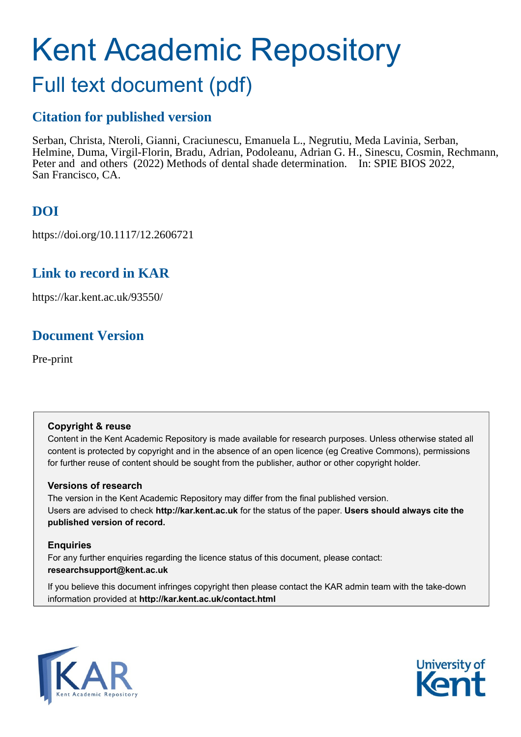# Kent Academic Repository

# Full text document (pdf)

# **Citation for published version**

Serban, Christa, Nteroli, Gianni, Craciunescu, Emanuela L., Negrutiu, Meda Lavinia, Serban, Helmine, Duma, Virgil-Florin, Bradu, Adrian, Podoleanu, Adrian G. H., Sinescu, Cosmin, Rechmann, Peter and and others (2022) Methods of dental shade determination. In: SPIE BIOS 2022, San Francisco, CA.

# **DOI**

https://doi.org/10.1117/12.2606721

# **Link to record in KAR**

https://kar.kent.ac.uk/93550/

# **Document Version**

Pre-print

## **Copyright & reuse**

Content in the Kent Academic Repository is made available for research purposes. Unless otherwise stated all content is protected by copyright and in the absence of an open licence (eg Creative Commons), permissions for further reuse of content should be sought from the publisher, author or other copyright holder.

## **Versions of research**

The version in the Kent Academic Repository may differ from the final published version. Users are advised to check **http://kar.kent.ac.uk** for the status of the paper. **Users should always cite the published version of record.**

## **Enquiries**

For any further enquiries regarding the licence status of this document, please contact: **researchsupport@kent.ac.uk**

If you believe this document infringes copyright then please contact the KAR admin team with the take-down information provided at **http://kar.kent.ac.uk/contact.html**



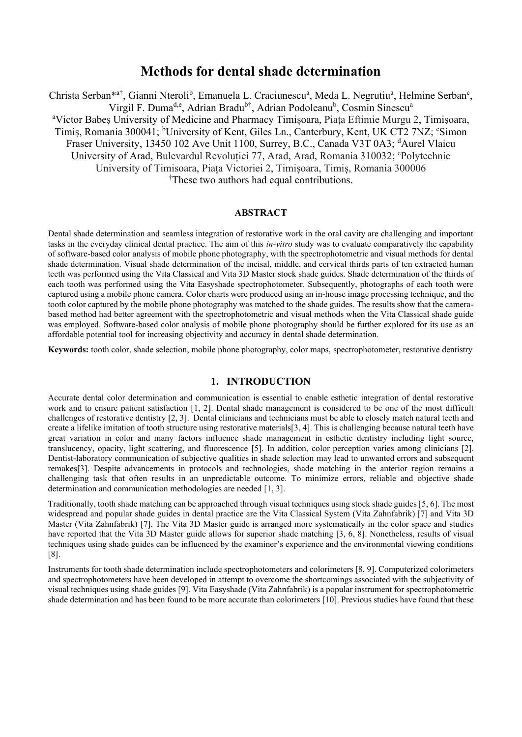# **Methods for dental shade determination**

Christa Serban\*<sup>a†</sup>, Gianni Nteroli<sup>b</sup>, Emanuela L. Craciunescu<sup>a</sup>, Meda L. Negrutiu<sup>a</sup>, Helmine Serban<sup>c</sup>, Virgil F. Duma<sup>d,e</sup>, Adrian Bradu<sup>b†</sup>, Adrian Podoleanu<sup>b</sup>, Cosmin Sinescu<sup>a</sup> <sup>a</sup>Victor Babeș University of Medicine and Pharmacy Timișoara, Piața Eftimie Murgu 2, Timișoara, Timiș, Romania 300041; <sup>b</sup>University of Kent, Giles Ln., Canterbury, Kent, UK CT2 7NZ; °Simon Fraser University, 13450 102 Ave Unit 1100, Surrey, B.C., Canada V3T 0A3; <sup>d</sup>Aurel Vlaicu University of Arad, Bulevardul Revoluției 77, Arad, Arad, Romania 310032; <sup>e</sup>Polytechnic University of Timisoara, Piața Victoriei 2, Timișoara, Timiș, Romania 300006 †These two authors had equal contributions.

#### **ABSTRACT**

Dental shade determination and seamless integration of restorative work in the oral cavity are challenging and important tasks in the everyday clinical dental practice. The aim of this *in-vitro* study was to evaluate comparatively the capability of software-based color analysis of mobile phone photography, with the spectrophotometric and visual methods for dental shade determination. Visual shade determination of the incisal, middle, and cervical thirds parts of ten extracted human teeth was performed using the Vita Classical and Vita 3D Master stock shade guides. Shade determination of the thirds of each tooth was performed using the Vita Easyshade spectrophotometer. Subsequently, photographs of each tooth were captured using a mobile phone camera. Color charts were produced using an in-house image processing technique, and the tooth color captured by the mobile phone photography was matched to the shade guides. The results show that the camerabased method had better agreement with the spectrophotometric and visual methods when the Vita Classical shade guide was employed. Software-based color analysis of mobile phone photography should be further explored for its use as an affordable potential tool for increasing objectivity and accuracy in dental shade determination.

**Keywords:** tooth color, shade selection, mobile phone photography, color maps, spectrophotometer, restorative dentistry

## **1. INTRODUCTION**

Accurate dental color determination and communication is essential to enable esthetic integration of dental restorative work and to ensure patient satisfaction [1, 2]. Dental shade management is considered to be one of the most difficult challenges of restorative dentistry [2, 3]. Dental clinicians and technicians must be able to closely match natural teeth and create a lifelike imitation of tooth structure using restorative materials[3, 4]. This is challenging because natural teeth have great variation in color and many factors influence shade management in esthetic dentistry including light source, translucency, opacity, light scattering, and fluorescence [5]. In addition, color perception varies among clinicians [2]. Dentist-laboratory communication of subjective qualities in shade selection may lead to unwanted errors and subsequent remakes[3]. Despite advancements in protocols and technologies, shade matching in the anterior region remains a challenging task that often results in an unpredictable outcome. To minimize errors, reliable and objective shade determination and communication methodologies are needed [1, 3].

Traditionally, tooth shade matching can be approached through visual techniques using stock shade guides [5, 6]. The most widespread and popular shade guides in dental practice are the Vita Classical System (Vita Zahnfabrik) [7] and Vita 3D Master (Vita Zahnfabrik) [7]. The Vita 3D Master guide is arranged more systematically in the color space and studies have reported that the Vita 3D Master guide allows for superior shade matching [3, 6, 8]. Nonetheless, results of visual techniques using shade guides can be influenced by the examiner's experience and the environmental viewing conditions [8].

Instruments for tooth shade determination include spectrophotometers and colorimeters [8, 9]. Computerized colorimeters and spectrophotometers have been developed in attempt to overcome the shortcomings associated with the subjectivity of visual techniques using shade guides [9]. Vita Easyshade (Vita Zahnfabrik) is a popular instrument for spectrophotometric shade determination and has been found to be more accurate than colorimeters [10]. Previous studies have found that these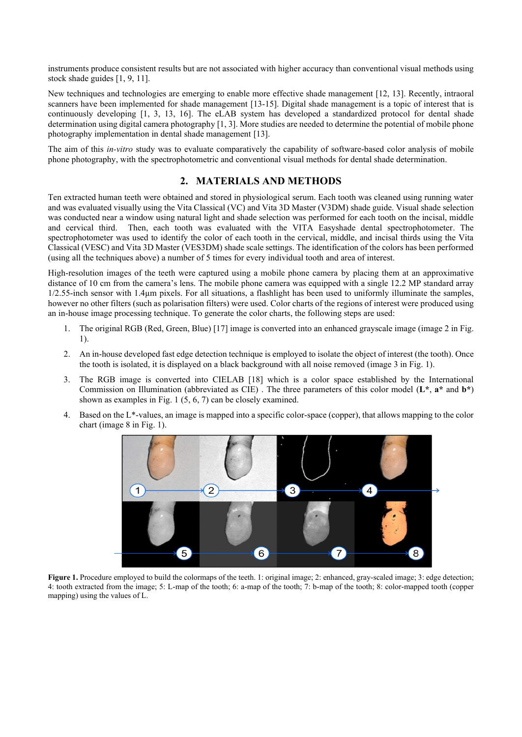instruments produce consistent results but are not associated with higher accuracy than conventional visual methods using stock shade guides [1, 9, 11].

New techniques and technologies are emerging to enable more effective shade management [12, 13]. Recently, intraoral scanners have been implemented for shade management [13-15]. Digital shade management is a topic of interest that is continuously developing [1, 3, 13, 16]. The eLAB system has developed a standardized protocol for dental shade determination using digital camera photography [1, 3]. More studies are needed to determine the potential of mobile phone photography implementation in dental shade management [13].

The aim of this *in-vitro* study was to evaluate comparatively the capability of software-based color analysis of mobile phone photography, with the spectrophotometric and conventional visual methods for dental shade determination.

## **2. MATERIALS AND METHODS**

Ten extracted human teeth were obtained and stored in physiological serum. Each tooth was cleaned using running water and was evaluated visually using the Vita Classical (VC) and Vita 3D Master (V3DM) shade guide. Visual shade selection was conducted near a window using natural light and shade selection was performed for each tooth on the incisal, middle and cervical third. Then, each tooth was evaluated with the VITA Easyshade dental spectrophotometer. The spectrophotometer was used to identify the color of each tooth in the cervical, middle, and incisal thirds using the Vita Classical (VESC) and Vita 3D Master (VES3DM) shade scale settings. The identification of the colors has been performed (using all the techniques above) a number of 5 times for every individual tooth and area of interest.

High-resolution images of the teeth were captured using a mobile phone camera by placing them at an approximative distance of 10 cm from the camera's lens. The mobile phone camera was equipped with a single 12.2 MP standard array 1/2.55-inch sensor with 1.4µm pixels. For all situations, a flashlight has been used to uniformly illuminate the samples, however no other filters (such as polarisation filters) were used. Color charts of the regions of interest were produced using an in-house image processing technique. To generate the color charts, the following steps are used:

- 1. The original RGB (Red, Green, Blue) [17] image is converted into an enhanced grayscale image (image 2 in Fig. 1).
- 2. An in-house developed fast edge detection technique is employed to isolate the object of interest (the tooth). Once the tooth is isolated, it is displayed on a black background with all noise removed (image 3 in Fig. 1).
- 3. The RGB image is converted into CIELAB [18] which is a color space established by the International Commission on Illumination (abbreviated as CIE) . The three parameters of this color model (**L\***, **a\*** and **b\***) shown as examples in Fig. 1 (5, 6, 7) can be closely examined.
- 4. Based on the L\*-values, an image is mapped into a specific color-space (copper), that allows mapping to the color chart (image 8 in Fig. 1).



**Figure 1.** Procedure employed to build the colormaps of the teeth. 1: original image; 2: enhanced, gray-scaled image; 3: edge detection; 4: tooth extracted from the image; 5: L-map of the tooth; 6: a-map of the tooth; 7: b-map of the tooth; 8: color-mapped tooth (copper mapping) using the values of L.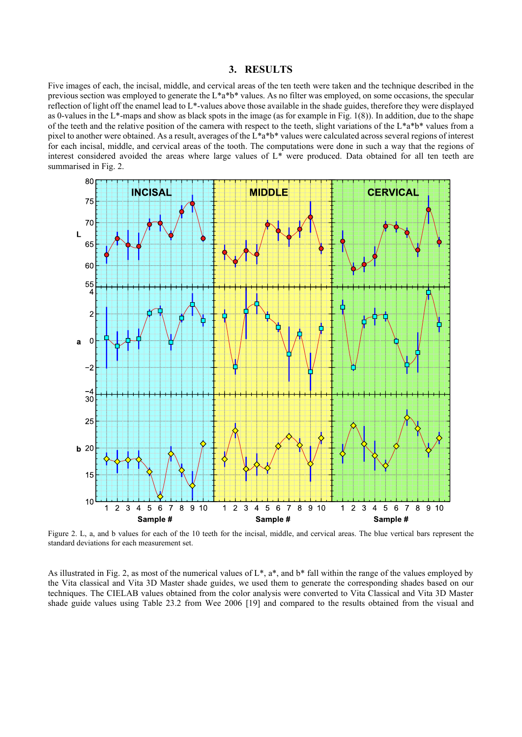#### **3. RESULTS**

Five images of each, the incisal, middle, and cervical areas of the ten teeth were taken and the technique described in the previous section was employed to generate the  $L^*a^*b^*$  values. As no filter was employed, on some occasions, the specular reflection of light off the enamel lead to L\*-values above those available in the shade guides, therefore they were displayed as 0-values in the L<sup>\*</sup>-maps and show as black spots in the image (as for example in Fig. 1(8)). In addition, due to the shape of the teeth and the relative position of the camera with respect to the teeth, slight variations of the  $L^*a^*b^*$  values from a pixel to another were obtained. As a result, averages of the L\*a\*b\* values were calculated across several regions of interest for each incisal, middle, and cervical areas of the tooth. The computations were done in such a way that the regions of interest considered avoided the areas where large values of L\* were produced. Data obtained for all ten teeth are summarised in Fig. 2.



Figure 2. L, a, and b values for each of the 10 teeth for the incisal, middle, and cervical areas. The blue vertical bars represent the standard deviations for each measurement set.

As illustrated in Fig. 2, as most of the numerical values of  $L^*$ ,  $a^*$ , and  $b^*$  fall within the range of the values employed by the Vita classical and Vita 3D Master shade guides, we used them to generate the corresponding shades based on our techniques. The CIELAB values obtained from the color analysis were converted to Vita Classical and Vita 3D Master shade guide values using Table 23.2 from Wee 2006 [19] and compared to the results obtained from the visual and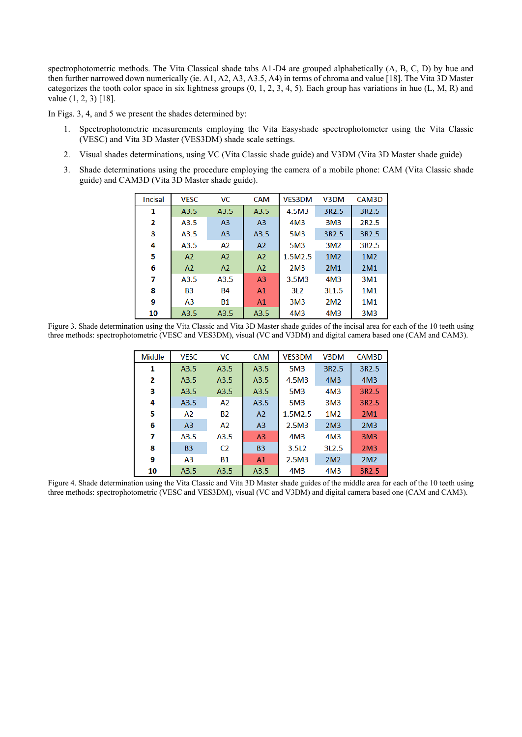spectrophotometric methods. The Vita Classical shade tabs A1-D4 are grouped alphabetically (A, B, C, D) by hue and then further narrowed down numerically (ie. A1, A2, A3, A3.5, A4) in terms of chroma and value [18]. The Vita 3D Master categorizes the tooth color space in six lightness groups  $(0, 1, 2, 3, 4, 5)$ . Each group has variations in hue  $(L, M, R)$  and value (1, 2, 3) [18].

In Figs. 3, 4, and 5 we present the shades determined by:

- 1. Spectrophotometric measurements employing the Vita Easyshade spectrophotometer using the Vita Classic (VESC) and Vita 3D Master (VES3DM) shade scale settings.
- 2. Visual shades determinations, using VC (Vita Classic shade guide) and V3DM (Vita 3D Master shade guide)
- 3. Shade determinations using the procedure employing the camera of a mobile phone: CAM (Vita Classic shade guide) and CAM3D (Vita 3D Master shade guide).

| <b>Incisal</b> | <b>VESC</b>      | VC.            | <b>CAM</b>     | <b>VES3DM</b>   | V3DM              | CAM3D             |
|----------------|------------------|----------------|----------------|-----------------|-------------------|-------------------|
| 1              | A3.5             | A3.5           | A3.5           | 4.5M3           | 3R <sub>2.5</sub> | 3R2.5             |
| 2              | A3.5             | A <sub>3</sub> | A <sub>3</sub> | 4M <sub>3</sub> | 3M <sub>3</sub>   | 2R <sub>2.5</sub> |
| з              | A3.5             | A <sub>3</sub> | A3.5           | <b>5M3</b>      | 3R <sub>2.5</sub> | 3R <sub>2.5</sub> |
| 4              | A3.5             | A2             | A <sub>2</sub> | 5M3             | 3M <sub>2</sub>   | 3R <sub>2.5</sub> |
| 5              | A <sub>2</sub>   | A <sub>2</sub> | A <sub>2</sub> | 1.5M2.5         | 1M <sub>2</sub>   | 1M <sub>2</sub>   |
| 6              | A <sub>2</sub>   | A <sub>2</sub> | A <sub>2</sub> | 2M <sub>3</sub> | 2M1               | 2M1               |
| 7              | A3.5             | A3.5           | A <sub>3</sub> | 3.5M3           | 4M <sub>3</sub>   | 3M1               |
| 8              | <b>B3</b>        | <b>B4</b>      | A <sub>1</sub> | 3L <sub>2</sub> | 3L <sub>1.5</sub> | 1M1               |
| 9              | A <sub>3</sub>   | <b>B1</b>      | A <sub>1</sub> | 3M <sub>3</sub> | 2M <sub>2</sub>   | 1M1               |
| 10             | A <sub>3.5</sub> | A3.5           | A3.5           | 4M <sub>3</sub> | 4M <sub>3</sub>   | 3M <sub>3</sub>   |

Figure 3. Shade determination using the Vita Classic and Vita 3D Master shade guides of the incisal area for each of the 10 teeth using three methods: spectrophotometric (VESC and VES3DM), visual (VC and V3DM) and digital camera based one (CAM and CAM3).

| <b>Middle</b> | <b>VESC</b>    | <b>VC</b>      | <b>CAM</b>     | <b>VES3DM</b>   | V <sub>3</sub> DM | CAM3D             |
|---------------|----------------|----------------|----------------|-----------------|-------------------|-------------------|
| 1             | A3.5           | A3.5           | A3.5           | 5M3             | 3R <sub>2.5</sub> | 3R2.5             |
| 2             | A3.5           | A3.5           | A3.5           | 4.5M3           | 4M <sub>3</sub>   | 4M <sub>3</sub>   |
| з             | A3.5           | A3.5           | A3.5           | 5M3             | 4M <sub>3</sub>   | 3R <sub>2.5</sub> |
| 4             | A3.5           | A2             | A3.5           | <b>5M3</b>      | 3M <sub>3</sub>   | 3R <sub>2.5</sub> |
| 5             | A <sub>2</sub> | <b>B2</b>      | A <sub>2</sub> | 1.5M2.5         | 1M <sub>2</sub>   | 2M1               |
| 6             | A <sub>3</sub> | A2             | A <sub>3</sub> | 2.5M3           | 2M <sub>3</sub>   | 2M <sub>3</sub>   |
| 7             | A3.5           | A3.5           | A <sub>3</sub> | 4M <sub>3</sub> | 4M <sub>3</sub>   | 3M <sub>3</sub>   |
| 8             | <b>B3</b>      | C <sub>2</sub> | <b>B3</b>      | 3.5L2           | 312.5             | 2M <sub>3</sub>   |
| 9             | A <sub>3</sub> | <b>B1</b>      | A <sub>1</sub> | 2.5M3           | 2M <sub>2</sub>   | 2M <sub>2</sub>   |
| 10            | A3.5           | A3.5           | A3.5           | 4M <sub>3</sub> | 4M <sub>3</sub>   | 3R <sub>2.5</sub> |

Figure 4. Shade determination using the Vita Classic and Vita 3D Master shade guides of the middle area for each of the 10 teeth using three methods: spectrophotometric (VESC and VES3DM), visual (VC and V3DM) and digital camera based one (CAM and CAM3).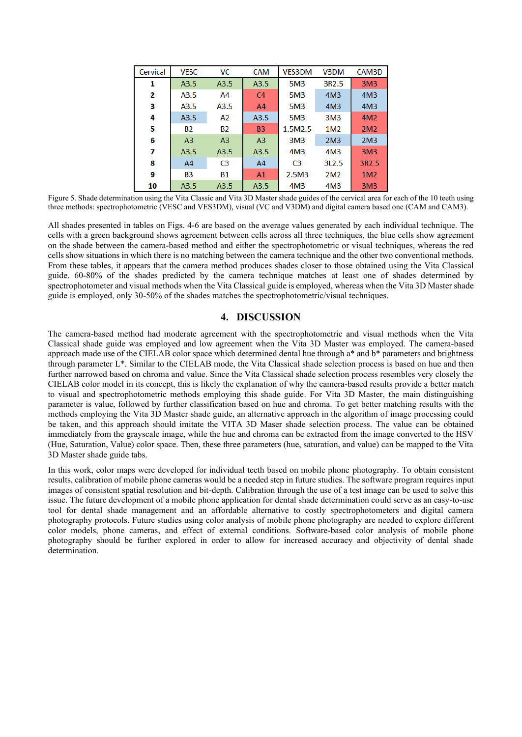| Cervical | <b>VESC</b>    | <b>VC</b>      | <b>CAM</b>     | <b>VES3DM</b>   | V3DM              | CAM3D           |
|----------|----------------|----------------|----------------|-----------------|-------------------|-----------------|
| 1        | A3.5           | A3.5           | A3.5           | 5M3             | 3R <sub>2.5</sub> | 3M <sub>3</sub> |
| 2        | A3.5           | A4             | C <sub>4</sub> | <b>5M3</b>      | 4M <sub>3</sub>   | 4M <sub>3</sub> |
| з        | A3.5           | A3.5           | A <sub>4</sub> | 5M3             | 4M <sub>3</sub>   | 4M <sub>3</sub> |
| 4        | A3.5           | A2             | A3.5           | <b>5M3</b>      | 3M <sub>3</sub>   | 4M <sub>2</sub> |
| 5        | <b>B2</b>      | <b>B2</b>      | <b>B3</b>      | 1.5M2.5         | 1M <sub>2</sub>   | 2M <sub>2</sub> |
| 6        | A <sub>3</sub> | A <sub>3</sub> | A <sub>3</sub> | 3M <sub>3</sub> | 2M <sub>3</sub>   | 2M <sub>3</sub> |
| 7        | A3.5           | A3.5           | A3.5           | 4M <sub>3</sub> | 4M <sub>3</sub>   | 3M <sub>3</sub> |
| 8        | A <sub>4</sub> | C <sub>3</sub> | A <sub>4</sub> | C <sub>3</sub>  | 312.5             | 3R2.5           |
| 9        | B <sub>3</sub> | <b>B1</b>      | A <sub>1</sub> | 2.5M3           | 2M <sub>2</sub>   | 1M <sub>2</sub> |
| 10       | A3.5           | A3.5           | A3.5           | 4M <sub>3</sub> | 4M3               | 3M <sub>3</sub> |

Figure 5. Shade determination using the Vita Classic and Vita 3D Master shade guides of the cervical area for each of the 10 teeth using three methods: spectrophotometric (VESC and VES3DM), visual (VC and V3DM) and digital camera based one (CAM and CAM3).

All shades presented in tables on Figs. 4-6 are based on the average values generated by each individual technique. The cells with a green background shows agreement between cells across all three techniques, the blue cells show agreement on the shade between the camera-based method and either the spectrophotometric or visual techniques, whereas the red cells show situations in which there is no matching between the camera technique and the other two conventional methods. From these tables, it appears that the camera method produces shades closer to those obtained using the Vita Classical guide. 60-80% of the shades predicted by the camera technique matches at least one of shades determined by spectrophotometer and visual methods when the Vita Classical guide is employed, whereas when the Vita 3D Master shade guide is employed, only 30-50% of the shades matches the spectrophotometric/visual techniques.

## **4. DISCUSSION**

The camera-based method had moderate agreement with the spectrophotometric and visual methods when the Vita Classical shade guide was employed and low agreement when the Vita 3D Master was employed. The camera-based approach made use of the CIELAB color space which determined dental hue through a\* and b\* parameters and brightness through parameter L\*. Similar to the CIELAB mode, the Vita Classical shade selection process is based on hue and then further narrowed based on chroma and value. Since the Vita Classical shade selection process resembles very closely the CIELAB color model in its concept, this is likely the explanation of why the camera-based results provide a better match to visual and spectrophotometric methods employing this shade guide. For Vita 3D Master, the main distinguishing parameter is value, followed by further classification based on hue and chroma. To get better matching results with the methods employing the Vita 3D Master shade guide, an alternative approach in the algorithm of image processing could be taken, and this approach should imitate the VITA 3D Maser shade selection process. The value can be obtained immediately from the grayscale image, while the hue and chroma can be extracted from the image converted to the HSV (Hue, Saturation, Value) color space. Then, these three parameters (hue, saturation, and value) can be mapped to the Vita 3D Master shade guide tabs.

In this work, color maps were developed for individual teeth based on mobile phone photography. To obtain consistent results, calibration of mobile phone cameras would be a needed step in future studies. The software program requires input images of consistent spatial resolution and bit-depth. Calibration through the use of a test image can be used to solve this issue. The future development of a mobile phone application for dental shade determination could serve as an easy-to-use tool for dental shade management and an affordable alternative to costly spectrophotometers and digital camera photography protocols. Future studies using color analysis of mobile phone photography are needed to explore different color models, phone cameras, and effect of external conditions. Software-based color analysis of mobile phone photography should be further explored in order to allow for increased accuracy and objectivity of dental shade determination.